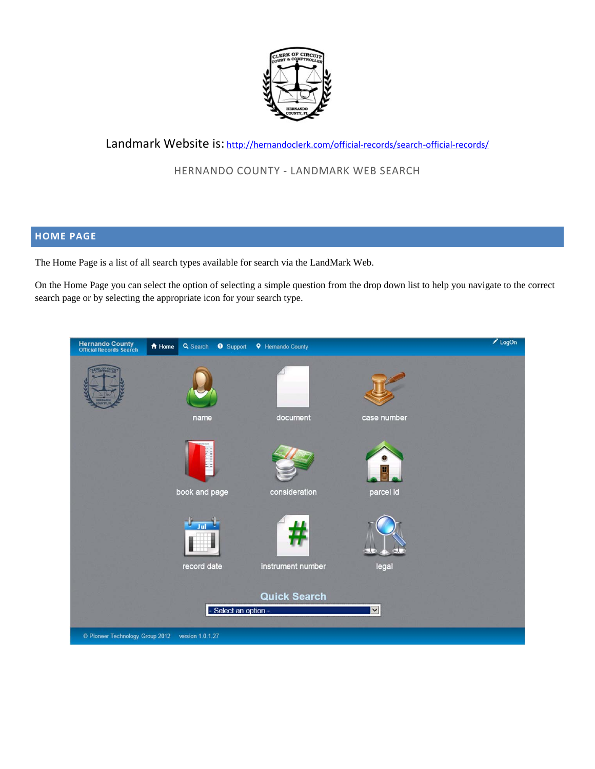

# Landmark Website is: http://hernandoclerk.com/official-records/search-official-records/

# HERNANDO COUNTY ‐ LANDMARK WEB SEARCH

# **HOME PAGE**

The Home Page is a list of all search types available for search via the LandMark Web.

On the Home Page you can select the option of selecting a simple question from the drop down list to help you navigate to the correct search page or by selecting the appropriate icon for your search type.

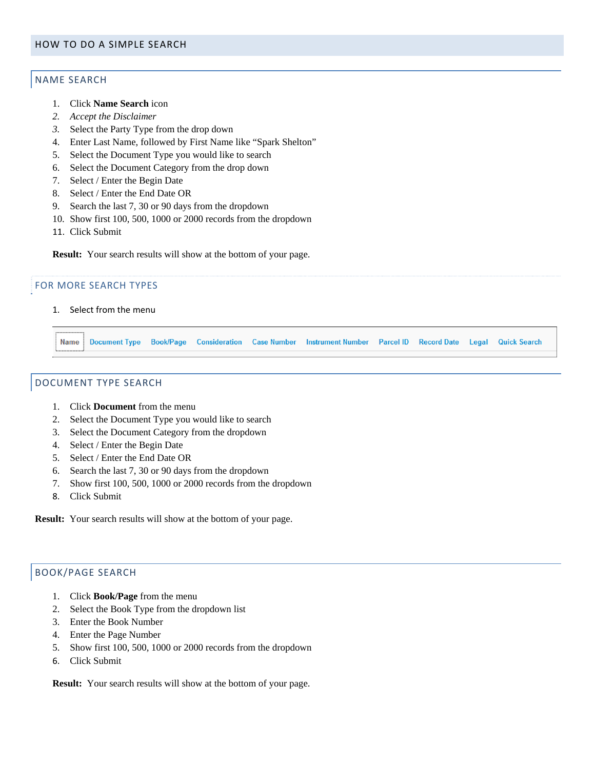# NAME SEARCH

- 1. Click **Name Search** icon
- *2. Accept the Disclaimer*
- *3.* Select the Party Type from the drop down
- 4. Enter Last Name, followed by First Name like "Spark Shelton"
- 5. Select the Document Type you would like to search
- 6. Select the Document Category from the drop down
- 7. Select / Enter the Begin Date
- 8. Select / Enter the End Date OR
- 9. Search the last 7, 30 or 90 days from the dropdown
- 10. Show first 100, 500, 1000 or 2000 records from the dropdown
- 11. Click Submit

**Result:** Your search results will show at the bottom of your page.

#### FOR MORE SEARCH TYPES

1. Select from the menu

Name Document Type Book/Page Consideration Case Number Instrument Number Parcel ID Record Date Legal Quick Search

## DOCUMENT TYPE SEARCH

- 1. Click **Document** from the menu
- 2. Select the Document Type you would like to search
- 3. Select the Document Category from the dropdown
- 4. Select / Enter the Begin Date
- 5. Select / Enter the End Date OR
- 6. Search the last 7, 30 or 90 days from the dropdown
- 7. Show first 100, 500, 1000 or 2000 records from the dropdown
- 8. Click Submit

**Result:** Your search results will show at the bottom of your page.

# BOOK/PAGE SEARCH

- 1. Click **Book/Page** from the menu
- 2. Select the Book Type from the dropdown list
- 3. Enter the Book Number
- 4. Enter the Page Number
- 5. Show first 100, 500, 1000 or 2000 records from the dropdown
- 6. Click Submit

**Result:** Your search results will show at the bottom of your page.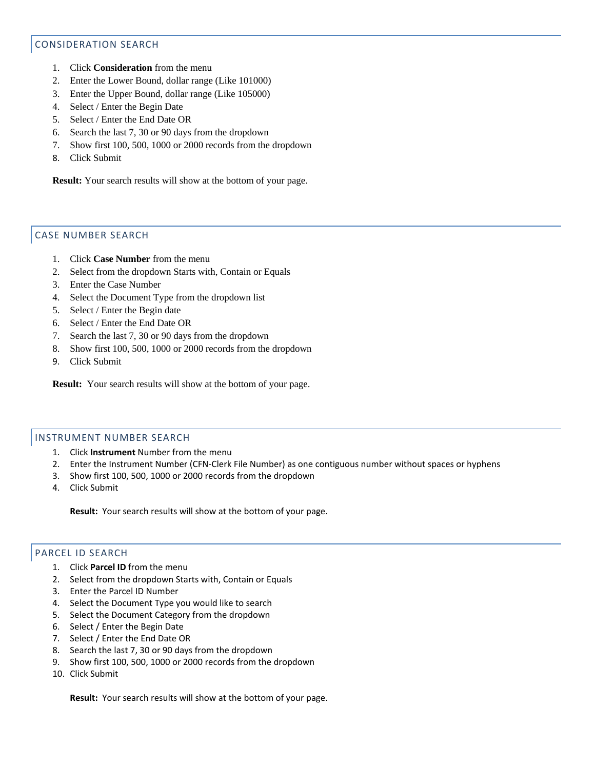# CONSIDERATION SEARCH

- 1. Click **Consideration** from the menu
- 2. Enter the Lower Bound, dollar range (Like 101000)
- 3. Enter the Upper Bound, dollar range (Like 105000)
- 4. Select / Enter the Begin Date
- 5. Select / Enter the End Date OR
- 6. Search the last 7, 30 or 90 days from the dropdown
- 7. Show first 100, 500, 1000 or 2000 records from the dropdown
- 8. Click Submit

**Result:** Your search results will show at the bottom of your page.

# CASE NUMBER SEARCH

- 1. Click **Case Number** from the menu
- 2. Select from the dropdown Starts with, Contain or Equals
- 3. Enter the Case Number
- 4. Select the Document Type from the dropdown list
- 5. Select / Enter the Begin date
- 6. Select / Enter the End Date OR
- 7. Search the last 7, 30 or 90 days from the dropdown
- 8. Show first 100, 500, 1000 or 2000 records from the dropdown
- 9. Click Submit

**Result:** Your search results will show at the bottom of your page.

### INSTRUMENT NUMBER SEARCH

- 1. Click **Instrument** Number from the menu
- 2. Enter the Instrument Number (CFN‐Clerk File Number) as one contiguous number without spaces or hyphens
- 3. Show first 100, 500, 1000 or 2000 records from the dropdown
- 4. Click Submit

**Result:** Your search results will show at the bottom of your page.

# PARCEL ID SEARCH

- 1. Click **Parcel ID** from the menu
- 2. Select from the dropdown Starts with, Contain or Equals
- 3. Enter the Parcel ID Number
- 4. Select the Document Type you would like to search
- 5. Select the Document Category from the dropdown
- 6. Select / Enter the Begin Date
- 7. Select / Enter the End Date OR
- 8. Search the last 7, 30 or 90 days from the dropdown
- 9. Show first 100, 500, 1000 or 2000 records from the dropdown
- 10. Click Submit

**Result:** Your search results will show at the bottom of your page.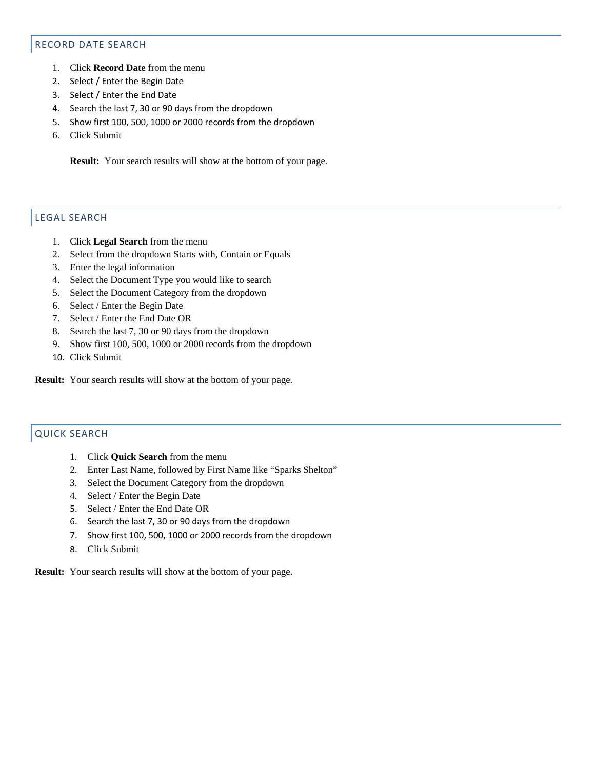## RECORD DATE SEARCH

- 1. Click **Record Date** from the menu
- 2. Select / Enter the Begin Date
- 3. Select / Enter the End Date
- 4. Search the last 7, 30 or 90 days from the dropdown
- 5. Show first 100, 500, 1000 or 2000 records from the dropdown
- 6. Click Submit

**Result:** Your search results will show at the bottom of your page.

# LEGAL SEARCH

- 1. Click **Legal Search** from the menu
- 2. Select from the dropdown Starts with, Contain or Equals
- 3. Enter the legal information
- 4. Select the Document Type you would like to search
- 5. Select the Document Category from the dropdown
- 6. Select / Enter the Begin Date
- 7. Select / Enter the End Date OR
- 8. Search the last 7, 30 or 90 days from the dropdown
- 9. Show first 100, 500, 1000 or 2000 records from the dropdown
- 10. Click Submit

**Result:** Your search results will show at the bottom of your page.

# QUICK SEARCH

- 1. Click **Quick Search** from the menu
- 2. Enter Last Name, followed by First Name like "Sparks Shelton"
- 3. Select the Document Category from the dropdown
- 4. Select / Enter the Begin Date
- 5. Select / Enter the End Date OR
- 6. Search the last 7, 30 or 90 days from the dropdown
- 7. Show first 100, 500, 1000 or 2000 records from the dropdown
- 8. Click Submit

**Result:** Your search results will show at the bottom of your page.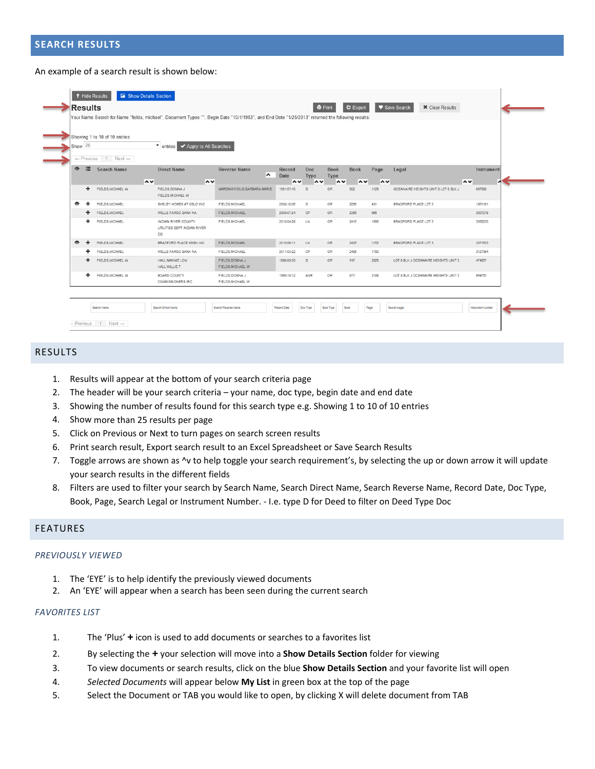#### An example of a search result is shown below:

|           | Show 25 | Showing 1 to 10 of 10 entries                                    | ▼ entries ◆ Apply to All Searches                        |                                      |                          |                                   |                               |                                   |             |                                      |                      |
|-----------|---------|------------------------------------------------------------------|----------------------------------------------------------|--------------------------------------|--------------------------|-----------------------------------|-------------------------------|-----------------------------------|-------------|--------------------------------------|----------------------|
| $\bullet$ | 這       | $\leftarrow$ Previous 1 Next $\rightarrow$<br><b>Search Name</b> | <b>Direct Name</b><br>$\sim$<br>$\sim$                   | <b>Reverse Name</b><br>∧             | Record<br>Date<br>$\sim$ | Doc<br>Type<br>$\rightsquigarrow$ | <b>Book</b><br>Type<br>$\sim$ | <b>Book</b><br>$\rightsquigarrow$ | Page<br>∣∧∨ | Legal                                | Instrument<br>$\sim$ |
|           | ÷.      | FIELDS, MICHAEL W                                                | FIELDS DONNA J<br>FIELDS.MICHAEL W                       | NARENKIVICIUS, BARBARA MARIE         | 1991/07/10               | D                                 | OR.                           | 902                               | 1129        | OCEANAIRE HEIGHTS UNIT 3 LOT 8 BLK J | 697988               |
| ◉         | ÷       | FIELDS.MICHAEL                                                   | SHELBY HOMES AT OSLO INC                                 | FIELDS.MICHAEL                       | 2008/10/06               | $\mathbb{D}$                      | 0R                            | 2296                              | 431         | BRADFORD PLACE LOT 3                 | 1951181              |
|           | ÷       | FIELDS, MICHAEL                                                  | WELLS FARGO BANK NA                                      | FIELDS, MICHAEL                      | 2009/07/24               | CP                                | OR                            | 2356                              | 966         |                                      | 2007218              |
|           | ÷.      | FIELDS, MICHAEL                                                  | INDIAN RIVER COUNTY<br>UTILITIES DEPT INDIAN RIVER<br>CO | FIELDS.MICHAEL                       | 2010/04/28               | LN                                | 0R                            | 2415                              | 1996        | BRADFORD PLACE LOT 3                 | 2062230              |
| $\bullet$ | ٠       | FIELDS, MICHAEL                                                  | BRADFORD PLACE ASSN INC                                  | FIELDS, MICHAEL                      | 2010/06/11               | LN.                               | OR                            | 2425                              | 1152        | <b>BRADFORD PLACE LOT 3</b>          | 2071503              |
|           |         | FIELDS, MICHAEL                                                  | WELLS FARGO BANK NA                                      | FIELDS, MICHAEL                      | 2011/03/22               | CP.                               | OR.                           | 2485                              | 1780        |                                      | 2127384              |
|           | ÷       | FIELDS, MICHAEL W                                                | HALL, NANNIE LOU<br>HALL, WILLIE T                       | FIELDS, DONNA J<br>FIELDS, MICHAEL W | 1986/09/30               | $\mathsf{D}%$                     | OR                            | 747                               | 2829        | LOT 8 BLK J OCEANAIRE HEIGHTS UNIT 3 | 474997               |
|           | ÷.      | FIELDS, MICHAEL W                                                | BOARD COUNTY<br><b>COMMISSIONERS IRC</b>                 | FIELDS, DONNA J<br>FIELDS, MICHAEL W | 1990/10/12               | <b>AGR</b>                        | OR                            | 877                               | 2188        | LOT 8 BLK J OCEANAIRE HEIGHTS UNIT 3 | 664750               |

## RESULTS

- 1. Results will appear at the bottom of your search criteria page
- 2. The header will be your search criteria your name, doc type, begin date and end date
- 3. Showing the number of results found for this search type e.g. Showing 1 to 10 of 10 entries
- 4. Show more than 25 results per page
- 5. Click on Previous or Next to turn pages on search screen results
- 6. Print search result, Export search result to an Excel Spreadsheet or Save Search Results
- 7. Toggle arrows are shown as ^v to help toggle your search requirement's, by selecting the up or down arrow it will update your search results in the different fields
- 8. Filters are used to filter your search by Search Name, Search Direct Name, Search Reverse Name, Record Date, Doc Type, Book, Page, Search Legal or Instrument Number. ‐ I.e. type D for Deed to filter on Deed Type Doc

#### FEATURES

#### *PREVIOUSLY VIEWED*

- 1. The 'EYE' is to help identify the previously viewed documents
- 2. An 'EYE' will appear when a search has been seen during the current search

#### *FAVORITES LIST*

- 1. The 'Plus' **+** icon is used to add documents or searches to a favorites list
- 2. By selecting the **+** your selection will move into a **Show Details Section** folder for viewing
- 3. To view documents or search results, click on the blue **Show Details Section** and your favorite list will open
- 4. *Selected Documents* will appear below **My List** in green box at the top of the page
- 5. Select the Document or TAB you would like to open, by clicking X will delete document from TAB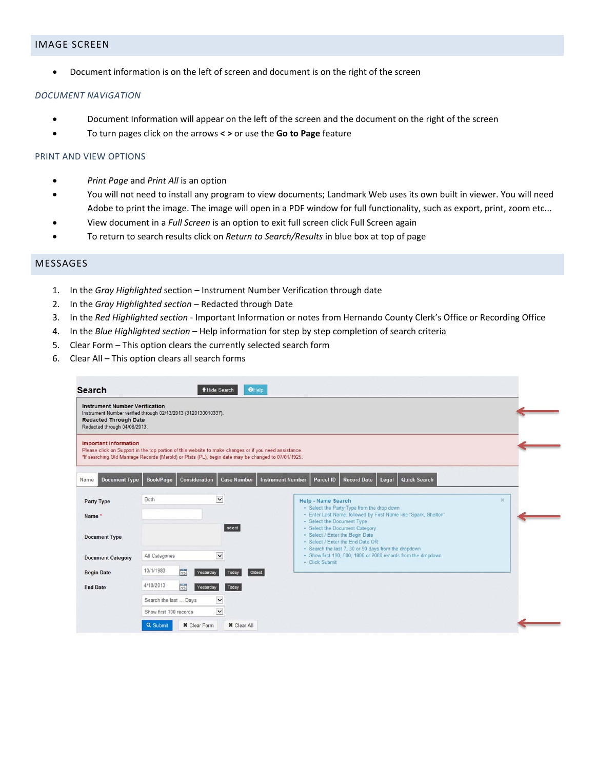## IMAGE SCREEN

Document information is on the left of screen and document is on the right of the screen

#### *DOCUMENT NAVIGATION*

- Document Information will appear on the left of the screen and the document on the right of the screen
- To turn pages click on the arrows **< >** or use the **Go to Page** feature

#### PRINT AND VIEW OPTIONS

- *Print Page* and *Print All* is an option
- You will not need to install any program to view documents; Landmark Web uses its own built in viewer. You will need Adobe to print the image. The image will open in a PDF window for full functionality, such as export, print, zoom etc...
- View document in a *Full Screen* is an option to exit full screen click Full Screen again
- To return to search results click on *Return to Search/Results* in blue box at top of page

### MESSAGES

- 1. In the *Gray Highlighted* section Instrument Number Verification through date
- 2. In the *Gray Highlighted section* Redacted through Date
- 3. In the *Red Highlighted section* ‐ Important Information or notes from Hernando County Clerk's Office or Recording Office
- 4. In the *Blue Highlighted section* Help information for step by step completion of search criteria
- 5. Clear Form This option clears the currently selected search form
- 6. Clear All This option clears all search forms

| <b>Instrument Number Verification</b><br><b>Redacted Through Date</b><br>Redacted through 04/08/2013. | Instrument Number verified through 02/13/2013 (3120130010337). |                                                                                                                                                                                                              |                                                                                                                                                                                                     |          |
|-------------------------------------------------------------------------------------------------------|----------------------------------------------------------------|--------------------------------------------------------------------------------------------------------------------------------------------------------------------------------------------------------------|-----------------------------------------------------------------------------------------------------------------------------------------------------------------------------------------------------|----------|
| <b>Important Information</b>                                                                          |                                                                | Please click on Support in the top portion of this website to make changes or if you need assistance.<br>*If searching Old Marriage Records (Marold) or Plats (PL), begin date may be changed to 07/01/1925. |                                                                                                                                                                                                     |          |
| <b>Document Type</b><br>Name                                                                          | Consideration<br><b>Book/Page</b>                              | <b>Case Number</b>                                                                                                                                                                                           | <b>Quick Search</b><br><b>Instrument Number</b><br><b>Parcel ID</b><br><b>Record Date</b><br>Legal                                                                                                  |          |
| <b>Party Type</b><br>Name <sup>*</sup>                                                                | Both                                                           | $\vee$<br>select                                                                                                                                                                                             | Help - Name Search<br>• Select the Party Type from the drop down<br>· Enter Last Name, followed by First Name like "Spark, Shelton"<br>· Select the Document Type<br>· Select the Document Category | $\infty$ |
| <b>Document Type</b>                                                                                  |                                                                |                                                                                                                                                                                                              | · Select / Enter the Begin Date<br>. Select / Enter the End Date OR<br>· Search the last 7, 30 or 90 days from the dropdown                                                                         |          |
| <b>Document Category</b>                                                                              | All Categories                                                 | $\check{ }$                                                                                                                                                                                                  | · Show first 100, 500, 1000 or 2000 records from the dropdown<br>· Click Submit                                                                                                                     |          |
| <b>Begin Date</b>                                                                                     | 10/1/1983<br>$\frac{1}{15}$                                    | Oldest<br>Yesterday<br>Today                                                                                                                                                                                 |                                                                                                                                                                                                     |          |
| <b>End Date</b>                                                                                       | 4/10/2013<br>$\overline{15}$                                   | Today<br>Yesterday                                                                                                                                                                                           |                                                                                                                                                                                                     |          |
|                                                                                                       | Search the last  Days                                          | $\check{ }$                                                                                                                                                                                                  |                                                                                                                                                                                                     |          |
|                                                                                                       | Show first 100 records                                         | $\checkmark$                                                                                                                                                                                                 |                                                                                                                                                                                                     |          |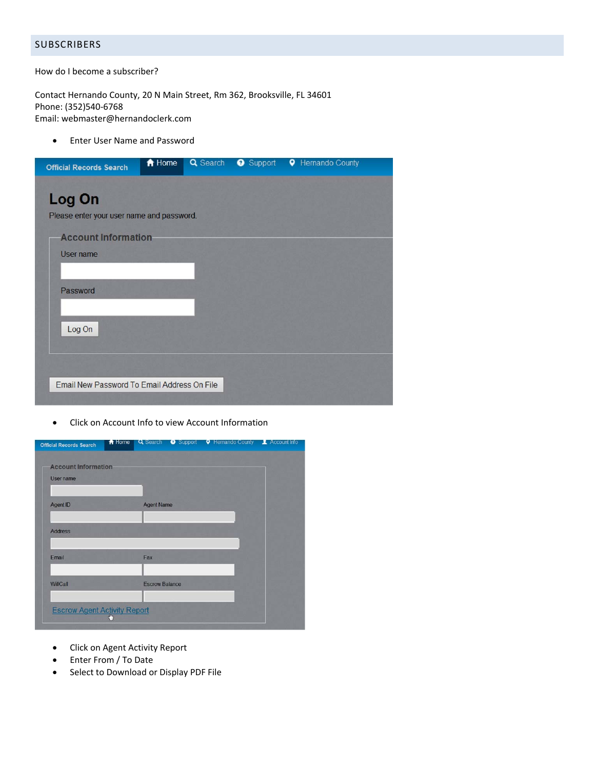# **SUBSCRIBERS**

How do I become a subscriber?

Contact Hernando County, 20 N Main Street, Rm 362, Brooksville, FL 34601 Phone: (352)540‐6768 Email: webmaster@hernandoclerk.com

Enter User Name and Password

| <b>Official Records Search</b>                      | A Home | Q Search | Support <b>Q</b> Hernando County |
|-----------------------------------------------------|--------|----------|----------------------------------|
| Log On<br>Please enter your user name and password. |        |          |                                  |
| <b>Account Information</b><br>User name             |        |          |                                  |
| Password                                            |        |          |                                  |
| Log On                                              |        |          |                                  |
| Email New Password To Email Address On File         |        |          |                                  |

Click on Account Info to view Account Information

| <b>Official Records Search</b>          | fi Home | Q Search              | Support | <b>Q</b> Hernando County <b>Account Info</b> |  |
|-----------------------------------------|---------|-----------------------|---------|----------------------------------------------|--|
| <b>Account Information</b><br>User name |         |                       |         |                                              |  |
| Agent ID                                |         | <b>Agent Name</b>     |         |                                              |  |
| <b>Address</b>                          |         |                       |         |                                              |  |
| Email                                   |         | Fax                   |         |                                              |  |
| WillCall                                |         | <b>Escrow Balance</b> |         |                                              |  |
| <b>Escrow Agent Activity Report</b>     |         |                       |         |                                              |  |

- Click on Agent Activity Report
- Enter From / To Date
- Select to Download or Display PDF File